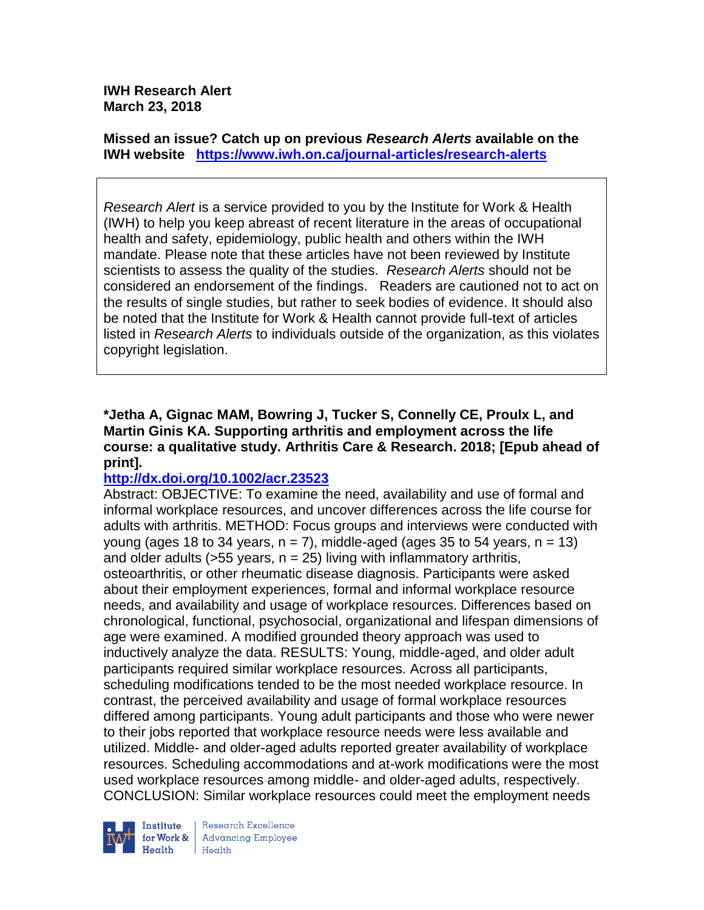**IWH Research Alert March 23, 2018**

**Missed an issue? Catch up on previous** *Research Alerts* **available on the [IWH website](http://www.iwh.on.ca/research-alerts) <https://www.iwh.on.ca/journal-articles/research-alerts>**

*Research Alert* is a service provided to you by the Institute for Work & Health (IWH) to help you keep abreast of recent literature in the areas of occupational health and safety, epidemiology, public health and others within the IWH mandate. Please note that these articles have not been reviewed by Institute scientists to assess the quality of the studies. *Research Alerts* should not be considered an endorsement of the findings. Readers are cautioned not to act on the results of single studies, but rather to seek bodies of evidence. It should also be noted that the Institute for Work & Health cannot provide full-text of articles listed in *Research Alerts* to individuals outside of the organization, as this violates copyright legislation.

# **\*Jetha A, Gignac MAM, Bowring J, Tucker S, Connelly CE, Proulx L, and Martin Ginis KA. Supporting arthritis and employment across the life course: a qualitative study. Arthritis Care & Research. 2018; [Epub ahead of print].**

# **<http://dx.doi.org/10.1002/acr.23523>**

Abstract: OBJECTIVE: To examine the need, availability and use of formal and informal workplace resources, and uncover differences across the life course for adults with arthritis. METHOD: Focus groups and interviews were conducted with young (ages 18 to 34 years,  $n = 7$ ), middle-aged (ages 35 to 54 years,  $n = 13$ ) and older adults ( $>55$  years,  $n = 25$ ) living with inflammatory arthritis, osteoarthritis, or other rheumatic disease diagnosis. Participants were asked about their employment experiences, formal and informal workplace resource needs, and availability and usage of workplace resources. Differences based on chronological, functional, psychosocial, organizational and lifespan dimensions of age were examined. A modified grounded theory approach was used to inductively analyze the data. RESULTS: Young, middle-aged, and older adult participants required similar workplace resources. Across all participants, scheduling modifications tended to be the most needed workplace resource. In contrast, the perceived availability and usage of formal workplace resources differed among participants. Young adult participants and those who were newer to their jobs reported that workplace resource needs were less available and utilized. Middle- and older-aged adults reported greater availability of workplace resources. Scheduling accommodations and at-work modifications were the most used workplace resources among middle- and older-aged adults, respectively. CONCLUSION: Similar workplace resources could meet the employment needs

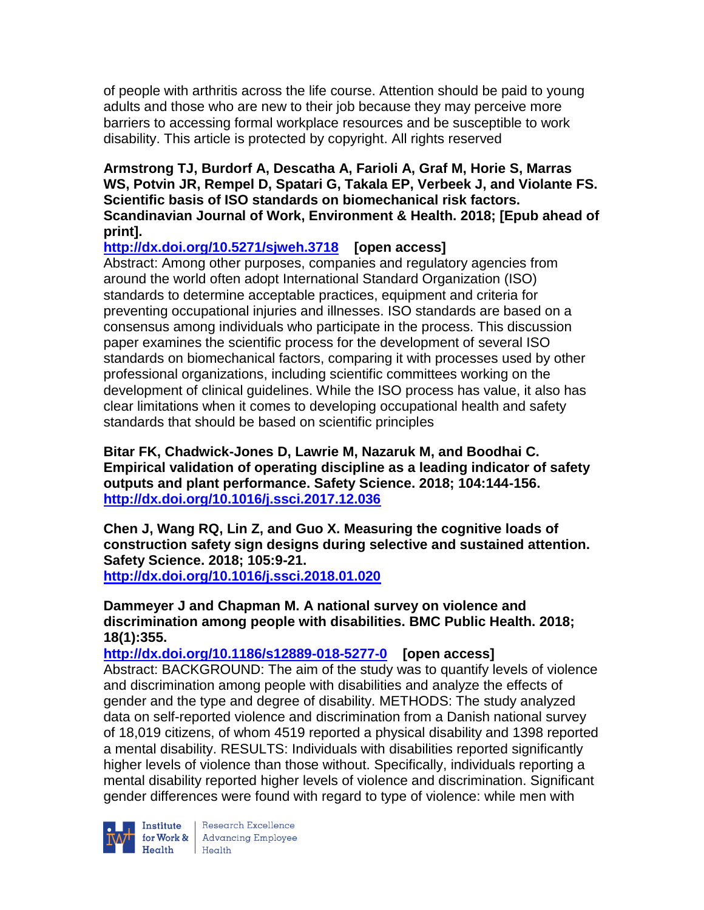of people with arthritis across the life course. Attention should be paid to young adults and those who are new to their job because they may perceive more barriers to accessing formal workplace resources and be susceptible to work disability. This article is protected by copyright. All rights reserved

**Armstrong TJ, Burdorf A, Descatha A, Farioli A, Graf M, Horie S, Marras WS, Potvin JR, Rempel D, Spatari G, Takala EP, Verbeek J, and Violante FS. Scientific basis of ISO standards on biomechanical risk factors. Scandinavian Journal of Work, Environment & Health. 2018; [Epub ahead of print].**

**<http://dx.doi.org/10.5271/sjweh.3718>[open access]**

Abstract: Among other purposes, companies and regulatory agencies from around the world often adopt International Standard Organization (ISO) standards to determine acceptable practices, equipment and criteria for preventing occupational injuries and illnesses. ISO standards are based on a consensus among individuals who participate in the process. This discussion paper examines the scientific process for the development of several ISO standards on biomechanical factors, comparing it with processes used by other professional organizations, including scientific committees working on the development of clinical guidelines. While the ISO process has value, it also has clear limitations when it comes to developing occupational health and safety standards that should be based on scientific principles

**Bitar FK, Chadwick-Jones D, Lawrie M, Nazaruk M, and Boodhai C. Empirical validation of operating discipline as a leading indicator of safety outputs and plant performance. Safety Science. 2018; 104:144-156. <http://dx.doi.org/10.1016/j.ssci.2017.12.036>**

**Chen J, Wang RQ, Lin Z, and Guo X. Measuring the cognitive loads of construction safety sign designs during selective and sustained attention. Safety Science. 2018; 105:9-21. <http://dx.doi.org/10.1016/j.ssci.2018.01.020>**

**Dammeyer J and Chapman M. A national survey on violence and discrimination among people with disabilities. BMC Public Health. 2018; 18(1):355.**

**<http://dx.doi.org/10.1186/s12889-018-5277-0>[open access]** Abstract: BACKGROUND: The aim of the study was to quantify levels of violence and discrimination among people with disabilities and analyze the effects of gender and the type and degree of disability. METHODS: The study analyzed data on self-reported violence and discrimination from a Danish national survey of 18,019 citizens, of whom 4519 reported a physical disability and 1398 reported a mental disability. RESULTS: Individuals with disabilities reported significantly higher levels of violence than those without. Specifically, individuals reporting a mental disability reported higher levels of violence and discrimination. Significant gender differences were found with regard to type of violence: while men with



**Institute** Research Excellence<br> **for Work &** Advancing Employee<br> **Health** Health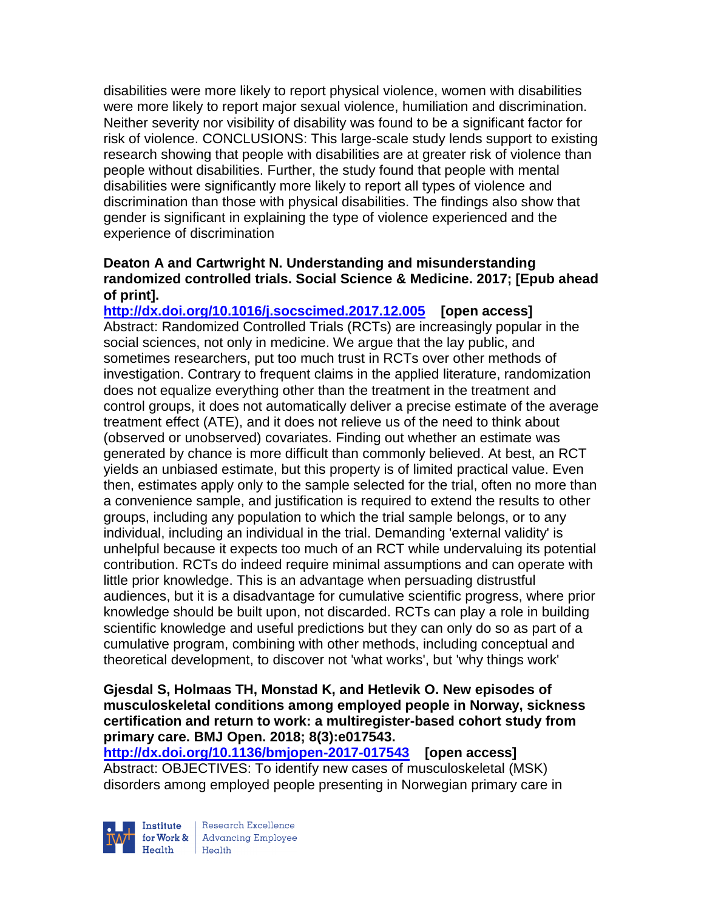disabilities were more likely to report physical violence, women with disabilities were more likely to report major sexual violence, humiliation and discrimination. Neither severity nor visibility of disability was found to be a significant factor for risk of violence. CONCLUSIONS: This large-scale study lends support to existing research showing that people with disabilities are at greater risk of violence than people without disabilities. Further, the study found that people with mental disabilities were significantly more likely to report all types of violence and discrimination than those with physical disabilities. The findings also show that gender is significant in explaining the type of violence experienced and the experience of discrimination

# **Deaton A and Cartwright N. Understanding and misunderstanding randomized controlled trials. Social Science & Medicine. 2017; [Epub ahead of print].**

**<http://dx.doi.org/10.1016/j.socscimed.2017.12.005>[open access]** Abstract: Randomized Controlled Trials (RCTs) are increasingly popular in the social sciences, not only in medicine. We argue that the lay public, and sometimes researchers, put too much trust in RCTs over other methods of investigation. Contrary to frequent claims in the applied literature, randomization does not equalize everything other than the treatment in the treatment and control groups, it does not automatically deliver a precise estimate of the average treatment effect (ATE), and it does not relieve us of the need to think about (observed or unobserved) covariates. Finding out whether an estimate was generated by chance is more difficult than commonly believed. At best, an RCT yields an unbiased estimate, but this property is of limited practical value. Even then, estimates apply only to the sample selected for the trial, often no more than a convenience sample, and justification is required to extend the results to other groups, including any population to which the trial sample belongs, or to any individual, including an individual in the trial. Demanding 'external validity' is unhelpful because it expects too much of an RCT while undervaluing its potential contribution. RCTs do indeed require minimal assumptions and can operate with little prior knowledge. This is an advantage when persuading distrustful audiences, but it is a disadvantage for cumulative scientific progress, where prior knowledge should be built upon, not discarded. RCTs can play a role in building scientific knowledge and useful predictions but they can only do so as part of a cumulative program, combining with other methods, including conceptual and theoretical development, to discover not 'what works', but 'why things work'

#### **Gjesdal S, Holmaas TH, Monstad K, and Hetlevik O. New episodes of musculoskeletal conditions among employed people in Norway, sickness certification and return to work: a multiregister-based cohort study from primary care. BMJ Open. 2018; 8(3):e017543.**

**<http://dx.doi.org/10.1136/bmjopen-2017-017543>[open access]** Abstract: OBJECTIVES: To identify new cases of musculoskeletal (MSK) disorders among employed people presenting in Norwegian primary care in

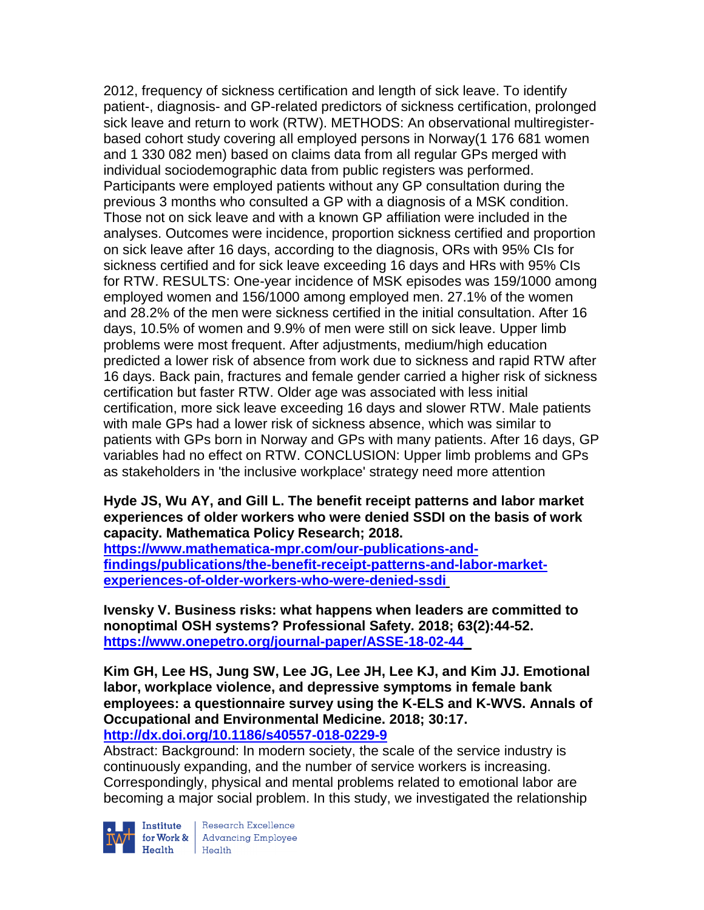2012, frequency of sickness certification and length of sick leave. To identify patient-, diagnosis- and GP-related predictors of sickness certification, prolonged sick leave and return to work (RTW). METHODS: An observational multiregisterbased cohort study covering all employed persons in Norway(1 176 681 women and 1 330 082 men) based on claims data from all regular GPs merged with individual sociodemographic data from public registers was performed. Participants were employed patients without any GP consultation during the previous 3 months who consulted a GP with a diagnosis of a MSK condition. Those not on sick leave and with a known GP affiliation were included in the analyses. Outcomes were incidence, proportion sickness certified and proportion on sick leave after 16 days, according to the diagnosis, ORs with 95% CIs for sickness certified and for sick leave exceeding 16 days and HRs with 95% CIs for RTW. RESULTS: One-year incidence of MSK episodes was 159/1000 among employed women and 156/1000 among employed men. 27.1% of the women and 28.2% of the men were sickness certified in the initial consultation. After 16 days, 10.5% of women and 9.9% of men were still on sick leave. Upper limb problems were most frequent. After adjustments, medium/high education predicted a lower risk of absence from work due to sickness and rapid RTW after 16 days. Back pain, fractures and female gender carried a higher risk of sickness certification but faster RTW. Older age was associated with less initial certification, more sick leave exceeding 16 days and slower RTW. Male patients with male GPs had a lower risk of sickness absence, which was similar to patients with GPs born in Norway and GPs with many patients. After 16 days, GP variables had no effect on RTW. CONCLUSION: Upper limb problems and GPs as stakeholders in 'the inclusive workplace' strategy need more attention

# **Hyde JS, Wu AY, and Gill L. The benefit receipt patterns and labor market experiences of older workers who were denied SSDI on the basis of work capacity. Mathematica Policy Research; 2018.**

**[https://www.mathematica-mpr.com/our-publications-and](https://www.mathematica-mpr.com/our-publications-and-findings/publications/the-benefit-receipt-patterns-and-labor-market-experiences-of-older-workers-who-were-denied-ssdi)[findings/publications/the-benefit-receipt-patterns-and-labor-market](https://www.mathematica-mpr.com/our-publications-and-findings/publications/the-benefit-receipt-patterns-and-labor-market-experiences-of-older-workers-who-were-denied-ssdi)[experiences-of-older-workers-who-were-denied-ssdi](https://www.mathematica-mpr.com/our-publications-and-findings/publications/the-benefit-receipt-patterns-and-labor-market-experiences-of-older-workers-who-were-denied-ssdi)**

**Ivensky V. Business risks: what happens when leaders are committed to nonoptimal OSH systems? Professional Safety. 2018; 63(2):44-52. <https://www.onepetro.org/journal-paper/ASSE-18-02-44>**

**Kim GH, Lee HS, Jung SW, Lee JG, Lee JH, Lee KJ, and Kim JJ. Emotional labor, workplace violence, and depressive symptoms in female bank employees: a questionnaire survey using the K-ELS and K-WVS. Annals of Occupational and Environmental Medicine. 2018; 30:17. <http://dx.doi.org/10.1186/s40557-018-0229-9>**

Abstract: Background: In modern society, the scale of the service industry is continuously expanding, and the number of service workers is increasing. Correspondingly, physical and mental problems related to emotional labor are becoming a major social problem. In this study, we investigated the relationship



Institute Research Excellence<br>
for Work & Advancing Employee<br>
Health Health  $Heath$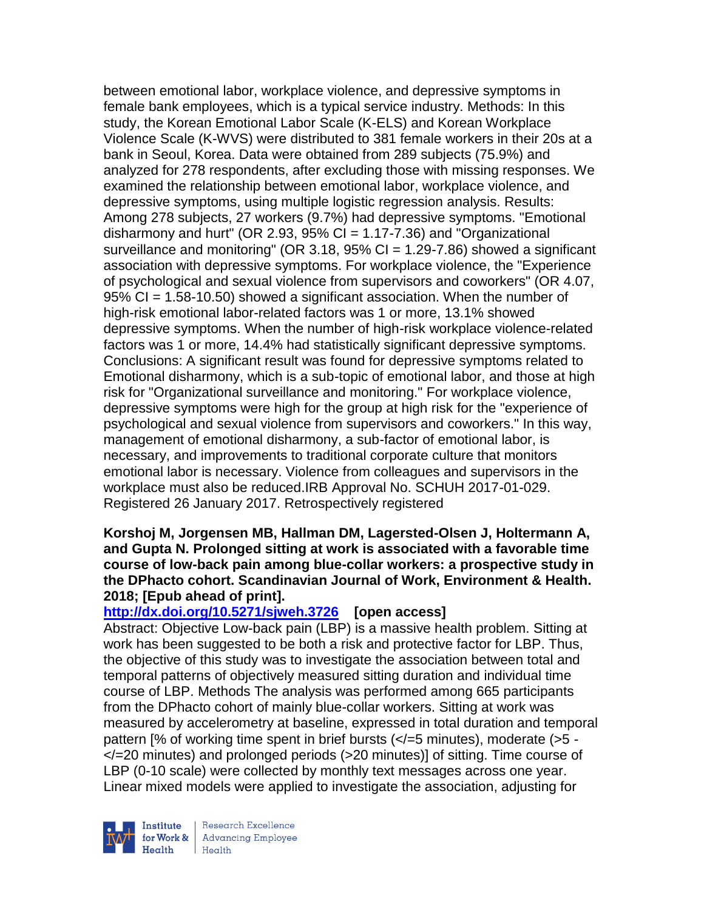between emotional labor, workplace violence, and depressive symptoms in female bank employees, which is a typical service industry. Methods: In this study, the Korean Emotional Labor Scale (K-ELS) and Korean Workplace Violence Scale (K-WVS) were distributed to 381 female workers in their 20s at a bank in Seoul, Korea. Data were obtained from 289 subjects (75.9%) and analyzed for 278 respondents, after excluding those with missing responses. We examined the relationship between emotional labor, workplace violence, and depressive symptoms, using multiple logistic regression analysis. Results: Among 278 subjects, 27 workers (9.7%) had depressive symptoms. "Emotional disharmony and hurt" (OR 2.93, 95% CI = 1.17-7.36) and "Organizational surveillance and monitoring" (OR 3.18,  $95\%$  CI = 1.29-7.86) showed a significant association with depressive symptoms. For workplace violence, the "Experience of psychological and sexual violence from supervisors and coworkers" (OR 4.07, 95% CI = 1.58-10.50) showed a significant association. When the number of high-risk emotional labor-related factors was 1 or more, 13.1% showed depressive symptoms. When the number of high-risk workplace violence-related factors was 1 or more, 14.4% had statistically significant depressive symptoms. Conclusions: A significant result was found for depressive symptoms related to Emotional disharmony, which is a sub-topic of emotional labor, and those at high risk for "Organizational surveillance and monitoring." For workplace violence, depressive symptoms were high for the group at high risk for the "experience of psychological and sexual violence from supervisors and coworkers." In this way, management of emotional disharmony, a sub-factor of emotional labor, is necessary, and improvements to traditional corporate culture that monitors emotional labor is necessary. Violence from colleagues and supervisors in the workplace must also be reduced.IRB Approval No. SCHUH 2017-01-029. Registered 26 January 2017. Retrospectively registered

#### **Korshoj M, Jorgensen MB, Hallman DM, Lagersted-Olsen J, Holtermann A, and Gupta N. Prolonged sitting at work is associated with a favorable time course of low-back pain among blue-collar workers: a prospective study in the DPhacto cohort. Scandinavian Journal of Work, Environment & Health. 2018; [Epub ahead of print].**

# **<http://dx.doi.org/10.5271/sjweh.3726>[open access]**

Abstract: Objective Low-back pain (LBP) is a massive health problem. Sitting at work has been suggested to be both a risk and protective factor for LBP. Thus, the objective of this study was to investigate the association between total and temporal patterns of objectively measured sitting duration and individual time course of LBP. Methods The analysis was performed among 665 participants from the DPhacto cohort of mainly blue-collar workers. Sitting at work was measured by accelerometry at baseline, expressed in total duration and temporal pattern [% of working time spent in brief bursts (</=5 minutes), moderate (>5 -</=20 minutes) and prolonged periods (>20 minutes)] of sitting. Time course of LBP (0-10 scale) were collected by monthly text messages across one year. Linear mixed models were applied to investigate the association, adjusting for

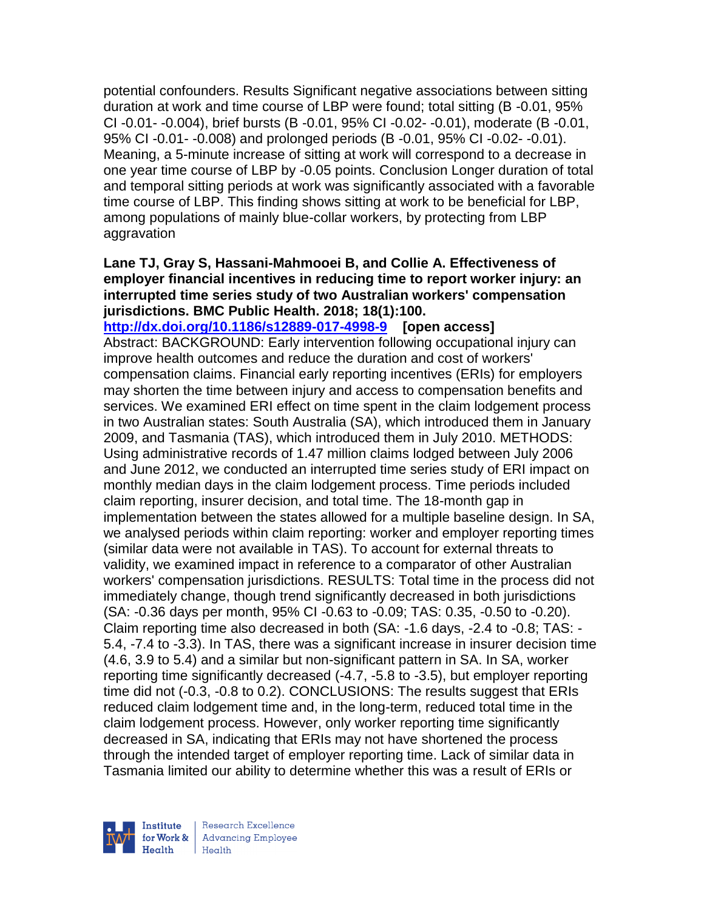potential confounders. Results Significant negative associations between sitting duration at work and time course of LBP were found; total sitting (B -0.01, 95% CI -0.01- -0.004), brief bursts (B -0.01, 95% CI -0.02- -0.01), moderate (B -0.01, 95% CI -0.01- -0.008) and prolonged periods (B -0.01, 95% CI -0.02- -0.01). Meaning, a 5-minute increase of sitting at work will correspond to a decrease in one year time course of LBP by -0.05 points. Conclusion Longer duration of total and temporal sitting periods at work was significantly associated with a favorable time course of LBP. This finding shows sitting at work to be beneficial for LBP, among populations of mainly blue-collar workers, by protecting from LBP aggravation

#### **Lane TJ, Gray S, Hassani-Mahmooei B, and Collie A. Effectiveness of employer financial incentives in reducing time to report worker injury: an interrupted time series study of two Australian workers' compensation jurisdictions. BMC Public Health. 2018; 18(1):100.**

**<http://dx.doi.org/10.1186/s12889-017-4998-9>[open access]** Abstract: BACKGROUND: Early intervention following occupational injury can improve health outcomes and reduce the duration and cost of workers' compensation claims. Financial early reporting incentives (ERIs) for employers may shorten the time between injury and access to compensation benefits and services. We examined ERI effect on time spent in the claim lodgement process in two Australian states: South Australia (SA), which introduced them in January 2009, and Tasmania (TAS), which introduced them in July 2010. METHODS: Using administrative records of 1.47 million claims lodged between July 2006 and June 2012, we conducted an interrupted time series study of ERI impact on monthly median days in the claim lodgement process. Time periods included claim reporting, insurer decision, and total time. The 18-month gap in implementation between the states allowed for a multiple baseline design. In SA, we analysed periods within claim reporting: worker and employer reporting times (similar data were not available in TAS). To account for external threats to validity, we examined impact in reference to a comparator of other Australian workers' compensation jurisdictions. RESULTS: Total time in the process did not immediately change, though trend significantly decreased in both jurisdictions (SA: -0.36 days per month, 95% CI -0.63 to -0.09; TAS: 0.35, -0.50 to -0.20). Claim reporting time also decreased in both (SA: -1.6 days, -2.4 to -0.8; TAS: - 5.4, -7.4 to -3.3). In TAS, there was a significant increase in insurer decision time (4.6, 3.9 to 5.4) and a similar but non-significant pattern in SA. In SA, worker reporting time significantly decreased (-4.7, -5.8 to -3.5), but employer reporting time did not (-0.3, -0.8 to 0.2). CONCLUSIONS: The results suggest that ERIs reduced claim lodgement time and, in the long-term, reduced total time in the claim lodgement process. However, only worker reporting time significantly decreased in SA, indicating that ERIs may not have shortened the process through the intended target of employer reporting time. Lack of similar data in Tasmania limited our ability to determine whether this was a result of ERIs or



Research Excellence for Work & | Advancing Employee  $H_{\text{each}}$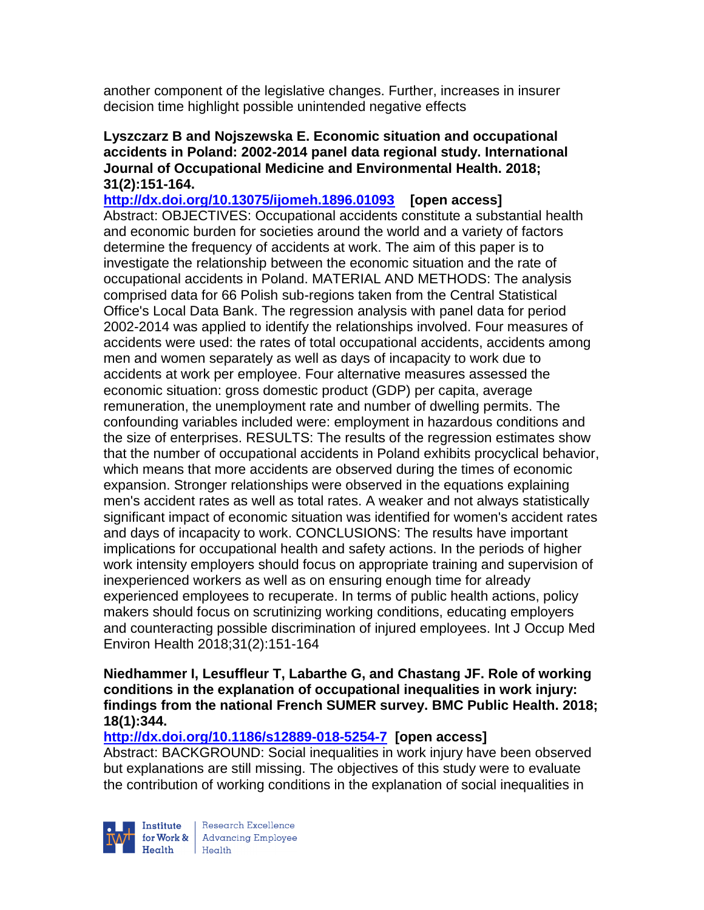another component of the legislative changes. Further, increases in insurer decision time highlight possible unintended negative effects

# **Lyszczarz B and Nojszewska E. Economic situation and occupational accidents in Poland: 2002-2014 panel data regional study. International Journal of Occupational Medicine and Environmental Health. 2018; 31(2):151-164.**

**<http://dx.doi.org/10.13075/ijomeh.1896.01093>[open access]** Abstract: OBJECTIVES: Occupational accidents constitute a substantial health and economic burden for societies around the world and a variety of factors determine the frequency of accidents at work. The aim of this paper is to investigate the relationship between the economic situation and the rate of occupational accidents in Poland. MATERIAL AND METHODS: The analysis comprised data for 66 Polish sub-regions taken from the Central Statistical Office's Local Data Bank. The regression analysis with panel data for period 2002-2014 was applied to identify the relationships involved. Four measures of accidents were used: the rates of total occupational accidents, accidents among men and women separately as well as days of incapacity to work due to accidents at work per employee. Four alternative measures assessed the economic situation: gross domestic product (GDP) per capita, average remuneration, the unemployment rate and number of dwelling permits. The confounding variables included were: employment in hazardous conditions and the size of enterprises. RESULTS: The results of the regression estimates show that the number of occupational accidents in Poland exhibits procyclical behavior, which means that more accidents are observed during the times of economic expansion. Stronger relationships were observed in the equations explaining men's accident rates as well as total rates. A weaker and not always statistically significant impact of economic situation was identified for women's accident rates and days of incapacity to work. CONCLUSIONS: The results have important implications for occupational health and safety actions. In the periods of higher work intensity employers should focus on appropriate training and supervision of inexperienced workers as well as on ensuring enough time for already experienced employees to recuperate. In terms of public health actions, policy makers should focus on scrutinizing working conditions, educating employers and counteracting possible discrimination of injured employees. Int J Occup Med Environ Health 2018;31(2):151-164

**Niedhammer I, Lesuffleur T, Labarthe G, and Chastang JF. Role of working conditions in the explanation of occupational inequalities in work injury: findings from the national French SUMER survey. BMC Public Health. 2018; 18(1):344.**

# **<http://dx.doi.org/10.1186/s12889-018-5254-7> [open access]**

Abstract: BACKGROUND: Social inequalities in work injury have been observed but explanations are still missing. The objectives of this study were to evaluate the contribution of working conditions in the explanation of social inequalities in

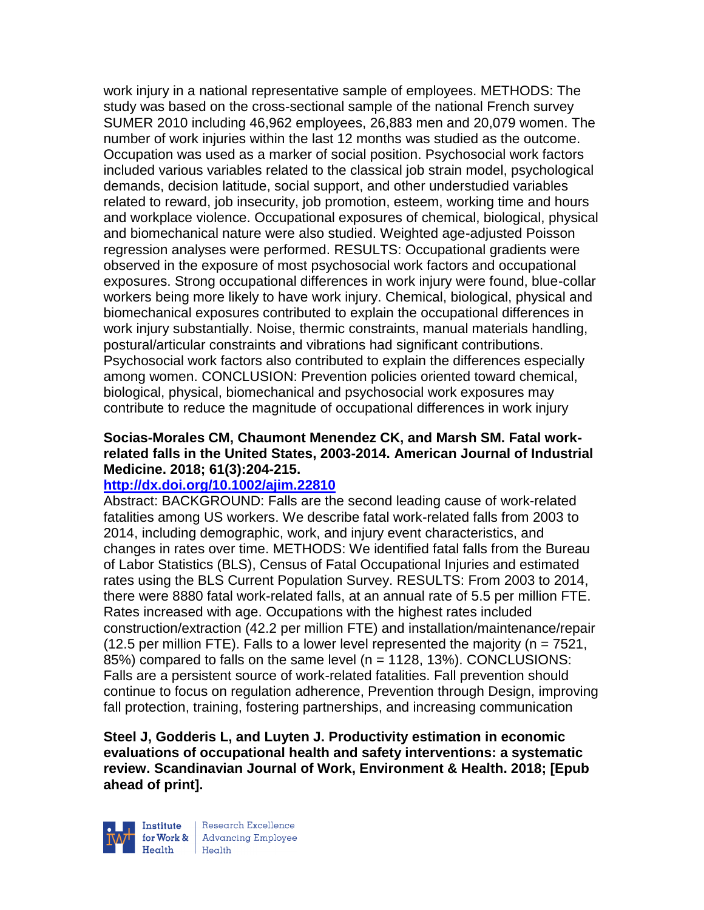work injury in a national representative sample of employees. METHODS: The study was based on the cross-sectional sample of the national French survey SUMER 2010 including 46,962 employees, 26,883 men and 20,079 women. The number of work injuries within the last 12 months was studied as the outcome. Occupation was used as a marker of social position. Psychosocial work factors included various variables related to the classical job strain model, psychological demands, decision latitude, social support, and other understudied variables related to reward, job insecurity, job promotion, esteem, working time and hours and workplace violence. Occupational exposures of chemical, biological, physical and biomechanical nature were also studied. Weighted age-adjusted Poisson regression analyses were performed. RESULTS: Occupational gradients were observed in the exposure of most psychosocial work factors and occupational exposures. Strong occupational differences in work injury were found, blue-collar workers being more likely to have work injury. Chemical, biological, physical and biomechanical exposures contributed to explain the occupational differences in work injury substantially. Noise, thermic constraints, manual materials handling, postural/articular constraints and vibrations had significant contributions. Psychosocial work factors also contributed to explain the differences especially among women. CONCLUSION: Prevention policies oriented toward chemical, biological, physical, biomechanical and psychosocial work exposures may contribute to reduce the magnitude of occupational differences in work injury

# **Socias-Morales CM, Chaumont Menendez CK, and Marsh SM. Fatal workrelated falls in the United States, 2003-2014. American Journal of Industrial Medicine. 2018; 61(3):204-215.**

# **<http://dx.doi.org/10.1002/ajim.22810>**

Abstract: BACKGROUND: Falls are the second leading cause of work-related fatalities among US workers. We describe fatal work-related falls from 2003 to 2014, including demographic, work, and injury event characteristics, and changes in rates over time. METHODS: We identified fatal falls from the Bureau of Labor Statistics (BLS), Census of Fatal Occupational Injuries and estimated rates using the BLS Current Population Survey. RESULTS: From 2003 to 2014, there were 8880 fatal work-related falls, at an annual rate of 5.5 per million FTE. Rates increased with age. Occupations with the highest rates included construction/extraction (42.2 per million FTE) and installation/maintenance/repair (12.5 per million FTE). Falls to a lower level represented the majority ( $n = 7521$ , 85%) compared to falls on the same level (n = 1128, 13%). CONCLUSIONS: Falls are a persistent source of work-related fatalities. Fall prevention should continue to focus on regulation adherence, Prevention through Design, improving fall protection, training, fostering partnerships, and increasing communication

**Steel J, Godderis L, and Luyten J. Productivity estimation in economic evaluations of occupational health and safety interventions: a systematic review. Scandinavian Journal of Work, Environment & Health. 2018; [Epub ahead of print].**

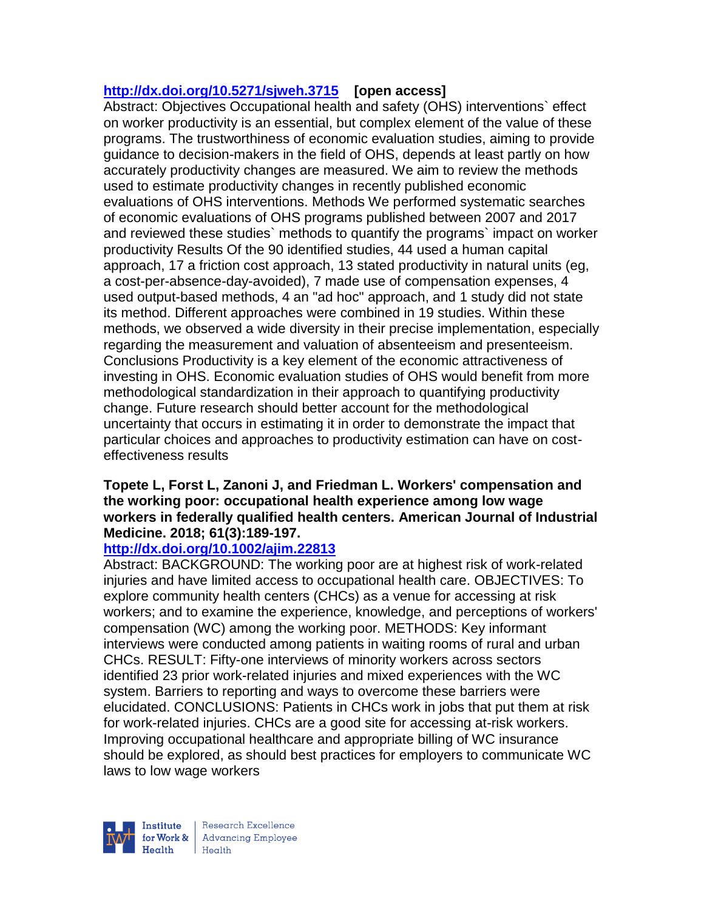# **<http://dx.doi.org/10.5271/sjweh.3715>[open access]**

Abstract: Objectives Occupational health and safety (OHS) interventions` effect on worker productivity is an essential, but complex element of the value of these programs. The trustworthiness of economic evaluation studies, aiming to provide guidance to decision-makers in the field of OHS, depends at least partly on how accurately productivity changes are measured. We aim to review the methods used to estimate productivity changes in recently published economic evaluations of OHS interventions. Methods We performed systematic searches of economic evaluations of OHS programs published between 2007 and 2017 and reviewed these studies` methods to quantify the programs` impact on worker productivity Results Of the 90 identified studies, 44 used a human capital approach, 17 a friction cost approach, 13 stated productivity in natural units (eg, a cost-per-absence-day-avoided), 7 made use of compensation expenses, 4 used output-based methods, 4 an "ad hoc" approach, and 1 study did not state its method. Different approaches were combined in 19 studies. Within these methods, we observed a wide diversity in their precise implementation, especially regarding the measurement and valuation of absenteeism and presenteeism. Conclusions Productivity is a key element of the economic attractiveness of investing in OHS. Economic evaluation studies of OHS would benefit from more methodological standardization in their approach to quantifying productivity change. Future research should better account for the methodological uncertainty that occurs in estimating it in order to demonstrate the impact that particular choices and approaches to productivity estimation can have on costeffectiveness results

# **Topete L, Forst L, Zanoni J, and Friedman L. Workers' compensation and the working poor: occupational health experience among low wage workers in federally qualified health centers. American Journal of Industrial Medicine. 2018; 61(3):189-197.**

# **<http://dx.doi.org/10.1002/ajim.22813>**

Abstract: BACKGROUND: The working poor are at highest risk of work-related injuries and have limited access to occupational health care. OBJECTIVES: To explore community health centers (CHCs) as a venue for accessing at risk workers; and to examine the experience, knowledge, and perceptions of workers' compensation (WC) among the working poor. METHODS: Key informant interviews were conducted among patients in waiting rooms of rural and urban CHCs. RESULT: Fifty-one interviews of minority workers across sectors identified 23 prior work-related injuries and mixed experiences with the WC system. Barriers to reporting and ways to overcome these barriers were elucidated. CONCLUSIONS: Patients in CHCs work in jobs that put them at risk for work-related injuries. CHCs are a good site for accessing at-risk workers. Improving occupational healthcare and appropriate billing of WC insurance should be explored, as should best practices for employers to communicate WC laws to low wage workers



Research Excellence for Work & Advancing Employee<br>Health Health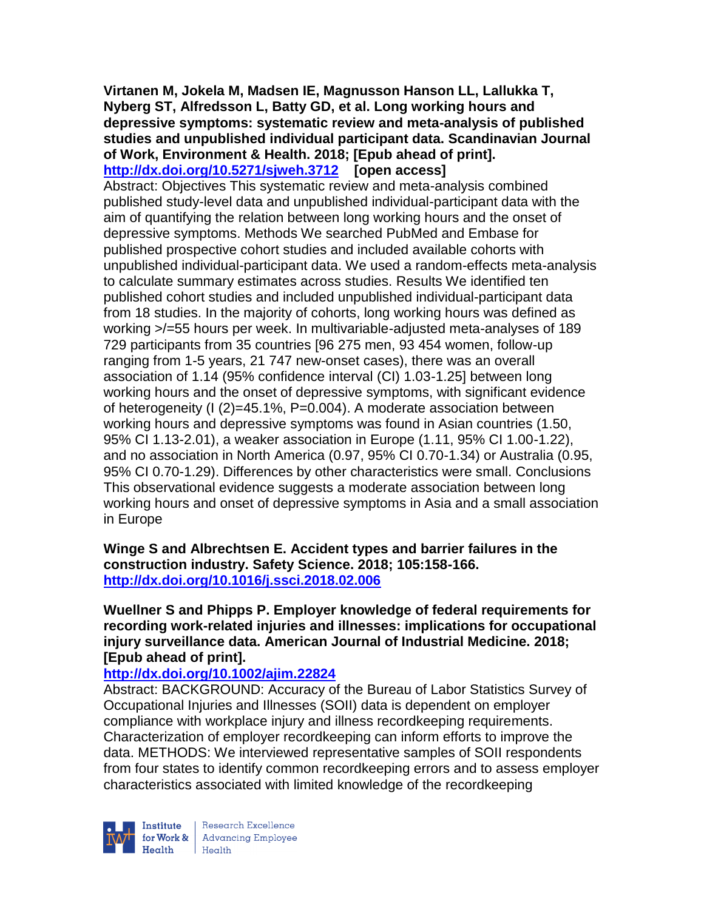#### **Virtanen M, Jokela M, Madsen IE, Magnusson Hanson LL, Lallukka T, Nyberg ST, Alfredsson L, Batty GD, et al. Long working hours and depressive symptoms: systematic review and meta-analysis of published studies and unpublished individual participant data. Scandinavian Journal of Work, Environment & Health. 2018; [Epub ahead of print]. <http://dx.doi.org/10.5271/sjweh.3712>[open access]**

Abstract: Objectives This systematic review and meta-analysis combined published study-level data and unpublished individual-participant data with the aim of quantifying the relation between long working hours and the onset of depressive symptoms. Methods We searched PubMed and Embase for published prospective cohort studies and included available cohorts with unpublished individual-participant data. We used a random-effects meta-analysis to calculate summary estimates across studies. Results We identified ten published cohort studies and included unpublished individual-participant data from 18 studies. In the majority of cohorts, long working hours was defined as working >/=55 hours per week. In multivariable-adjusted meta-analyses of 189 729 participants from 35 countries [96 275 men, 93 454 women, follow-up ranging from 1-5 years, 21 747 new-onset cases), there was an overall association of 1.14 (95% confidence interval (CI) 1.03-1.25] between long working hours and the onset of depressive symptoms, with significant evidence of heterogeneity (I  $(2)=45.1\%$ , P=0.004). A moderate association between working hours and depressive symptoms was found in Asian countries (1.50, 95% CI 1.13-2.01), a weaker association in Europe (1.11, 95% CI 1.00-1.22), and no association in North America (0.97, 95% CI 0.70-1.34) or Australia (0.95, 95% CI 0.70-1.29). Differences by other characteristics were small. Conclusions This observational evidence suggests a moderate association between long working hours and onset of depressive symptoms in Asia and a small association in Europe

**Winge S and Albrechtsen E. Accident types and barrier failures in the construction industry. Safety Science. 2018; 105:158-166. <http://dx.doi.org/10.1016/j.ssci.2018.02.006>**

**Wuellner S and Phipps P. Employer knowledge of federal requirements for recording work-related injuries and illnesses: implications for occupational injury surveillance data. American Journal of Industrial Medicine. 2018; [Epub ahead of print].**

# **<http://dx.doi.org/10.1002/ajim.22824>**

Abstract: BACKGROUND: Accuracy of the Bureau of Labor Statistics Survey of Occupational Injuries and Illnesses (SOII) data is dependent on employer compliance with workplace injury and illness recordkeeping requirements. Characterization of employer recordkeeping can inform efforts to improve the data. METHODS: We interviewed representative samples of SOII respondents from four states to identify common recordkeeping errors and to assess employer characteristics associated with limited knowledge of the recordkeeping



Research Excellence Institute Research Excellence<br>
for Work & Advancing Employee<br>
Hogith Hogith  $Heath$